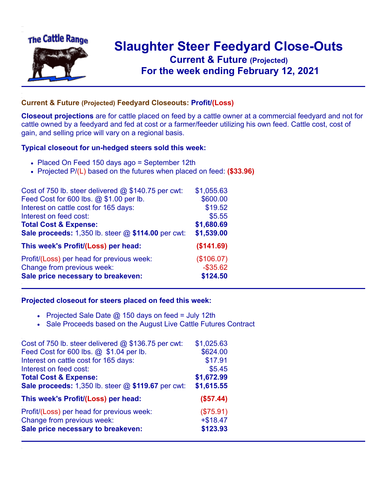

## **Slaughter Steer Feedyard Close-Outs Current & Future (Projected)** .**For the week ending February 12, 2021**

## **Current & Future (Projected) Feedyard Closeouts: Profit/(Loss)**

**Closeout projections** are for cattle placed on feed by a cattle owner at a commercial feedyard and not for cattle owned by a feedyard and fed at cost or a farmer/feeder utilizing his own feed. Cattle cost, cost of gain, and selling price will vary on a regional basis.

## **Typical closeout for un-hedged steers sold this week:**

- Placed On Feed 150 days ago = September 12th
- Projected P/(L) based on the futures when placed on feed: **(\$33.96)**

| Cost of 750 lb. steer delivered $@$ \$140.75 per cwt: | \$1,055.63  |
|-------------------------------------------------------|-------------|
| Feed Cost for 600 lbs. @ \$1.00 per lb.               | \$600.00    |
| Interest on cattle cost for 165 days:                 | \$19.52     |
| Interest on feed cost:                                | \$5.55      |
| <b>Total Cost &amp; Expense:</b>                      | \$1,680.69  |
| Sale proceeds: 1,350 lb. steer @ \$114.00 per cwt:    | \$1,539.00  |
| This week's Profit/(Loss) per head:                   | (\$141.69)  |
| Profit/(Loss) per head for previous week:             | (\$106.07)  |
| Change from previous week:                            | $-$ \$35.62 |
| Sale price necessary to breakeven:                    | \$124.50    |

## **Projected closeout for steers placed on feed this week:**

- Projected Sale Date  $@$  150 days on feed = July 12th
- Sale Proceeds based on the August Live Cattle Futures Contract

| Cost of 750 lb. steer delivered @ \$136.75 per cwt: | \$1,025.63 |
|-----------------------------------------------------|------------|
| Feed Cost for 600 lbs. @ \$1.04 per lb.             | \$624.00   |
| Interest on cattle cost for 165 days:               | \$17.91    |
| Interest on feed cost:                              | \$5.45     |
| <b>Total Cost &amp; Expense:</b>                    | \$1,672.99 |
| Sale proceeds: 1,350 lb. steer @ \$119.67 per cwt:  | \$1,615.55 |
| This week's Profit/(Loss) per head:                 | (\$57.44)  |
| Profit/(Loss) per head for previous week:           | (\$75.91)  |
| Change from previous week:                          | $+ $18.47$ |
| Sale price necessary to breakeven:                  | \$123.93   |